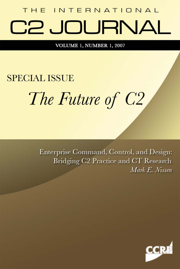## THE INTERNATIONAL C2 JOURNAL

VOLUME 1, NUMBER 1, 2007

# **SPECIAL ISSUE** The Future of C2

Enterprise Command, Control, and Design: Bridging C2 Practice and CT Research Mark E. Nissen

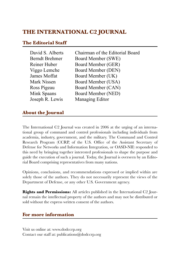#### **THE INTERNATIONAL C2 JOURNAL**

#### **The Editorial Staff**

| David S. Alberts      | Chairman of the Editorial Board |
|-----------------------|---------------------------------|
| <b>Berndt Brehmer</b> | Board Member (SWE)              |
| Reiner Huber          | Board Member (GER)              |
| Viggo Lemche          | Board Member (DEN)              |
| James Moffat          | Board Member (UK)               |
| Mark Nissen           | Board Member (USA)              |
| Ross Pigeau           | Board Member (CAN)              |
| Mink Spaans           | Board Member (NED)              |
| Joseph R. Lewis       | Managing Editor                 |

#### **About the Journal**

The International C2 Journal was created in 2006 at the urging of an international group of command and control professionals including individuals from academia, industry, government, and the military. The Command and Control Research Program (CCRP, of the U.S. Office of the Assistant Secretary of Defense for Networks and Information Integration, or OASD-NII) responded to this need by bringing together interested professionals to shape the purpose and guide the execution of such a journal. Today, the Journal is overseen by an Editorial Board comprising representatives from many nations.

Opinions, conclusions, and recommendations expressed or implied within are solely those of the authors. They do not necessarily represent the views of the Department of Defense, or any other U.S. Government agency.

**Rights and Permissions:** All articles published in the International C2 Journal remain the intellectual property of the authors and may not be distributed or sold without the express written consent of the authors.

#### **For more information**

Visit us online at: www.dodccrp.org Contact our staff at: publications@dodccrp.org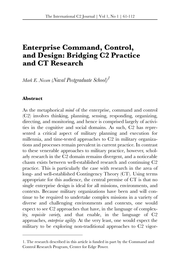### **Enterprise Command, Control, and Design: Bridging C2 Practice and CT Research**

*Mark E. Nissen (Naval Postgraduate School)1*

#### **Abstract**

As the metaphorical *mind* of the enterprise, command and control (C2) involves thinking, planning, sensing, responding, organizing, directing, and monitoring, and hence is comprised largely of activities in the cognitive and social domains. As such, C2 has represented a critical aspect of military planning and execution for millennia, and time-tested approaches to C2 in military organizations and processes remain prevalent in current practice. In contrast to these venerable approaches to military practice, however, scholarly research in the C2 domain remains divergent, and a noticeable chasm exists between well-established research and continuing C2 practice. This is particularly the case with research in the area of long- and well-established Contingency Theory (CT). Using terms appropriate for this audience, the central premise of CT is that no single enterprise design is ideal for all missions, environments, and contexts. Because military organizations have been and will continue to be required to undertake complex missions in a variety of diverse and challenging environments and contexts, one would expect to see C2 approaches that have, in the language of complexity, *requisite variety*, and that enable, in the language of C2 approaches, *enterprise agility*. At the very least, one would expect the military to be exploring non-traditional approaches to C2 vigor-

<sup>1.</sup> The research described in this article is funded in part by the Command and Control Research Program, Center for Edge Power.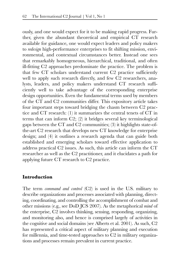ously, and one would expect for it to be making rapid progress. Further, given the abundant theoretical and empirical CT research available for guidance, one would expect leaders and policy makers to *redesign* high-performance enterprises to fit shifting mission, environmental, and contextual circumstances better. Instead one sees that remarkably homogeneous, hierarchical, traditional, and often ill-fitting C2 approaches predominate the practice. The problem is that few CT scholars understand current C2 practice sufficiently well to apply such research directly, and few C2 researchers, analysts, leaders, and policy makers understand CT research sufficiently well to take advantage of the corresponding enterprise design opportunities. Even the fundamental terms used by members of the CT and C2 communities differ. This expository article takes four important steps toward bridging the chasm between C2 practice and CT research: (1) it summarizes the central tenets of CT in terms that can inform C2; (2) it bridges several key terminological gaps between the CT and C2 communities; (3) it highlights state-ofthe-art C2 research that develops new CT knowledge for enterprise design; and (4) it outlines a research agenda that can guide both established and emerging scholars toward effective application to address practical C2 issues. As such, this article can inform the CT researcher as well as the C2 practitioner, and it elucidates a path for applying future CT research to C2 practice.

#### **Introduction**

The term *command and control* (C2) is used in the U.S. military to describe organizations and processes associated with planning, directing, coordinating, and controlling the accomplishment of combat and other missions (e.g., see DoD JCS 2007). As the metaphorical *mind* of the enterprise, C2 involves thinking, sensing, responding, organizing, and monitoring also, and hence is comprised largely of activities in the cognitive and social domains (see Alberts et al. 2001). As such, C2 has represented a critical aspect of military planning and execution for millennia, and time-tested approaches to C2 in military organizations and processes remain prevalent in current practice.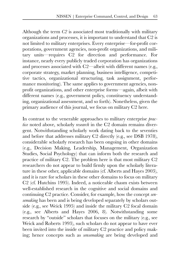Although the term *C2* is associated most traditionally with military organizations and processes, it is important to understand that C2 is not limited to military enterprises. Every enterprise—for-profit corporations, government agencies, non-profit organizations, and military units—requires C2 for direction and performance. For instance, nearly every publicly traded corporation has organizations and processes associated with C2—albeit with different names (e.g., corporate strategy, market planning, business intelligence, competitive tactics, organizational structuring, task assignment, performance monitoring). The same applies to government agencies, nonprofit organizations, and other enterprise forms—again, albeit with different names (e.g., government policy, constituency understanding, organizational assessment, and so forth). Nonetheless, given the primary audience of this journal, we focus on military C2 here.

In contrast to the venerable approaches to military enterprise *practice* noted above, scholarly *research* in the C2 domain remains divergent. Notwithstanding scholarly work dating back to the seventies and before that addresses military C2 directly (e.g., see DSB 1978), considerable scholarly research has been ongoing in other domains (e.g., Decision Making, Leadership, Management, Organization Studies, Social Psychology) that can inform both the research and practice of military C2. The problem here is that most military C2 researchers do not appear to build firmly upon the scholarly literature in these other, applicable domains (cf. Alberts and Hayes 2003), and it is rare for scholars in these other domains to focus on military C2 (cf. Hutchins 1995). Indeed, a noticeable chasm exists between well-established research in the cognitive and social domains and continuing C2 practice. Consider, for example, how the concept *sensemaking* has been and is being developed separately by scholars outside (e.g., see Weick 1995) and inside the military C2 focal domain (e.g., see Alberts and Hayes 2006, 8). Notwithstanding some research by "outside" scholars that focuses on the military (e.g., see Weick and Roberts 1993), such scholars do not appear to have ever been invited into the inside of military C2 practice and policy making; hence concepts such as *sensemaking* are being developed and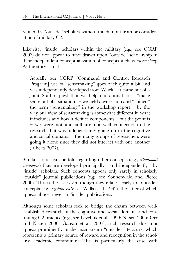refined by "outside" scholars without much input from or consideration of military C2.

Likewise, "inside" scholars within the military (e.g., see CCRP 2007) do not appear to have drawn upon "outside" scholarship in their independent conceptualization of concepts such as *sensemaking*. As the story is told:

Actually our CCRP [Command and Control Research Program] use of "sensemaking" goes back quite a bit and was independently developed from Weick – it came out of a Joint Staff request that we help operational folks "make sense out of a situation" – we held a workshop and "coined" the term "sensemaking" in the workshop report  $-$  by the way our view of sensemaking is somewhat different in what it includes and how it defines components – but the point is – we were not and still are not well connected to the research that was independently going on in the cognitive and social domains – the many groups of researchers were going it alone since they did not interact with one another (Alberts 2007).

Similar stories can be told regarding other concepts (e.g., *situational awareness*) that are developed principally—and independently—by "inside" scholars. Such concepts appear only rarely in scholarly "outside" journal publications (e.g., see Sonnenwald and Pierce 2000). This is the case even though they relate closely to "outside" concepts (e.g., *vigilant EIS*; see Walls et al. 1992), the latter of which appear almost never in "inside" publications.

Although some scholars seek to bridge the chasm between wellestablished research in the cognitive and social domains and continuing C2 practice (e.g., see Levchuk et al. 1999; Nissen 2005; Orr and Nissen 2006; Gateau et al. 2007), such research does not appear prominently in the mainstream "outside" literature, which represents a primary source of reward and recognition in the scholarly academic community. This is particularly the case with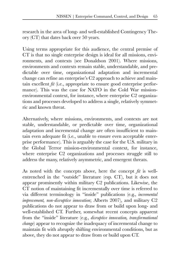research in the area of long- and well-established Contingency Theory (CT) that dates back over 50 years.

Using terms appropriate for this audience, the central premise of CT is that no single enterprise design is ideal for all missions, environments, and contexts (see Donaldson 2001). Where missions, environments and contexts remain stable, understandable, and predictable over time, organizational adaptation and incremental change can refine an enterprise's C2 approach to achieve and maintain excellent *fit* (i.e., appropriate to ensure good enterprise performance). This was the case for NATO in the Cold War missionenvironmental context, for instance, where enterprise C2 organizations and processes developed to address a single, relatively symmetric and known threat.

Alternatively, where missions, environments, and contexts are not stable, understandable, or predictable over time, organizational adaptation and incremental change are often insufficient to maintain even adequate fit (i.e., unable to ensure even acceptable enterprise performance). This is arguably the case for the U.S. military in the Global Terror mission-environmental context, for instance, where enterprise C2 organizations and processes struggle still to address the many, relatively asymmetric, and emergent threats.

As noted with the concepts above, here the concept *fit* is wellentrenched in the "outside" literature (esp. CT), but it does not appear prominently within military C2 publications. Likewise, the CT notion of maintaining fit incrementally over time is referred to via different terminology in "inside" publications (e.g., *incremental improvement, non-disruptive innovation*; Alberts 2007), and military C2 publications do not appear to draw from or build upon long- and well-established CT. Further, somewhat recent concepts apparent from the "inside" literature (e.g., *disruptive innovation, transformational change*) appear to recognize the inadequacy of incremental change to maintain fit with abruptly shifting environmental conditions, but as above, they do not appear to draw from or build upon CT.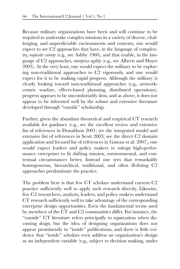Because military organizations have been and will continue to be required to undertake complex missions in a variety of diverse, challenging, and unpredictable environments and contexts, one would expect to see C2 approaches that have, in the language of complexity, *requisite variety* (e.g., see Ashby 1960), and that enable, in the language of C2 approaches, *enterprise agility* (e.g., see Alberts and Hayes 2003). At the very least, one would expect the military to be exploring non-traditional approaches to C2 vigorously, and one would expect for it to be making rapid progress. Although the military is clearly looking toward non-traditional approaches (e.g., networkcentric warfare, effects-based planning, distributed operations), progress appears to be uncomfortably slow, and as above, it does not appear to be informed well by the robust and extensive literature developed through "outside" scholarship.

Further, given the abundant theoretical and empirical CT research available for guidance (e.g., see the excellent review and extensive list of references in Donaldson 2001; see the integrated model and extensive list of references in Scott 2003; see the direct C2 domain application and focused list of references in Gateau et al. 2007), one would expect leaders and policy makers to *redesign* high-performance enterprises to fit shifting mission, environmental, and contextual circumstances better. Instead one sees that remarkably homogeneous, hierarchical, traditional, and often ill-fitting C2 approaches predominate the practice.

The problem here is that few CT scholars understand current C2 practice sufficiently well to apply such research directly. Likewise, few C2 researchers, analysts, leaders, and policy makers understand CT research sufficiently well to take advantage of the corresponding enterprise design opportunities. Even the fundamental terms used by members of the CT and C2 communities differ. For instance, the "outside" CT literature refers principally to *organizations* when discussing *design*, but the idea of designing organizations does not appear prominently in "inside" publications, and there is little evidence that "inside" scholars even address an organization's design as an independent variable (e.g., subject to decision making, under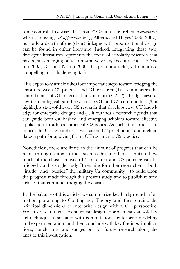some control). Likewise, the "inside" C2 literature refers to *enterprises* when discussing *C2 approaches* (e.g., Alberts and Hayes 2006; 2007), but only a dearth of the (clear) linkages with organizational design can be found in either literature. Indeed, integrating these two, divergent literatures represents the focus of scholarly research that has begun emerging only comparatively very recently (e.g., see Nissen 2005; Orr and Nissen 2006; this present article), yet remains a compelling and challenging task.

This expository article takes four important steps toward bridging the chasm between C2 practice and CT research: (1) it summarizes the central tenets of CT in terms that can inform C2; (2) it bridges several key, terminological gaps between the CT and C2 communities; (3) it highlights state-of-the-art C2 research that develops new CT knowledge for enterprise design; and (4) it outlines a research agenda that can guide both established and emerging scholars toward effective application to address practical C2 issues. As such, this article can inform the CT researcher as well as the C2 practitioner, and it elucidates a path for applying future CT research to C2 practice.

Nonetheless, there are limits to the amount of progress that can be made through a single article such as this, and hence limits to how much of the chasm between CT research and C2 practice can be bridged via this single study. It remains for other researchers—both "inside" and "outside" the military C2 community—to build upon the progress made through this present study, and to publish related articles that continue bridging the chasm.

In the balance of this article, we summarize key background information pertaining to Contingency Theory, and then outline the principal dimensions of enterprise design with a CT perspective. We illustrate in turn the enterprise design approach via state-of-theart techniques associated with computational enterprise modeling and experimentation, and then conclude with key findings, implications, conclusions, and suggestions for future research along the lines of this investigation.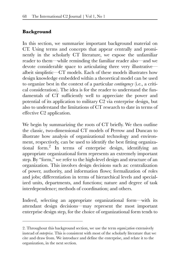#### **Background**

In this section, we summarize important background material on CT. Using terms and concepts that appear centrally and prominently in the scholarly CT literature, we expose the unfamiliar reader to them—while reminding the familiar reader also—and we devote considerable space to articulating three very illustrative albeit simplistic—CT models. Each of these models illustrates how design knowledge embedded within a theoretical model can be used to organize best in the context of a particular *contingency* (i.e., a critical consideration). The idea is for the reader to understand the fundamentals of CT sufficiently well to appreciate the power and potential of its application to military C2 via enterprise design, but also to understand the limitations of CT research to date in terms of effective C2 application.

We begin by summarizing the roots of CT briefly. We then outline the classic, two-dimensional CT models of Perrow and Duncan to illustrate how analysis of organizational technology and environment, respectively, can be used to identify the best fitting organizational form.2 In terms of enterprise design, identifying an appropriate organizational form represents an extremely important step. By "form," we refer to the high-level design and structure of an organization. This involves design decisions such as: centralization of power, authority, and information flows; formalization of roles and jobs; differentiation in terms of hierarchical levels and specialized units, departments, and functions; nature and degree of task interdependence; methods of coordination; and others.

Indeed, selecting an appropriate organizational form—with its attendant design decisions—may represent the most important enterprise design step, for the choice of organizational form tends to

<sup>2.</sup> Throughout this background section, we use the term *organization* extensively instead of *enterprise*. This is consistent with most of the scholarly literature that we cite and draw from. We introduce and define the enterprise, and relate it to the organization, in the next section.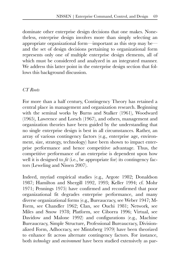dominate other enterprise design decisions that one makes. Nonetheless, enterprise design involves more than simply selecting an appropriate organizational form—important as this step may be and the set of design decisions pertaining to organizational form represents only one of multiple enterprise design elements, all of which must be considered and analyzed in an integrated manner. We address this latter point in the enterprise design section that follows this background discussion.

#### *CT Roots*

For more than a half century, Contingency Theory has retained a central place in management and organization research. Beginning with the seminal works by Burns and Stalker (1961), Woodward (1965), Lawrence and Lorsch (1967), and others, management and organization theories have been guided by the understanding that no single enterprise design is best in all circumstances. Rather, an array of various contingency factors (e.g., enterprise age, environment, size, strategy, technology) have been shown to impact enterprise performance and hence competitive advantage. Thus, the competitive performance of an enterprise is dependent upon how well it is designed to *fit* (i.e., be appropriate for) its contingency factors (Leweling and Nissen 2007).

Indeed, myriad empirical studies (e.g., Argote 1982; Donaldson 1987; Hamilton and Shergill 1992, 1993; Keller 1994; cf. Mohr 1971; Pennings 1975) have confirmed and reconfirmed that poor organizational fit degrades enterprise performance, and many diverse organizational forms (e.g., Bureaucracy, see Weber 1947; M-Form, see Chandler 1962; Clan, see Ouchi 1981; Network, see Miles and Snow 1978; Platform, see Ciborra 1996; Virtual, see Davidow and Malone 1992) and configurations (e.g., Machine Bureaucracy, Simple Structure, Professional Bureaucracy, Divisionalized Form, Adhocracy, see Mintzberg 1979) have been theorized to enhance fit across alternate contingency factors. For instance, both *technology* and *environment* have been studied extensively as par-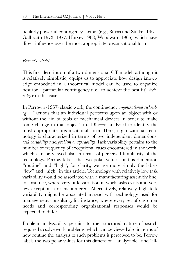ticularly powerful contingency factors (e.g., Burns and Stalker 1961; Galbraith 1973, 1977; Harvey 1968; Woodward 1965), which have direct influence over the most appropriate organizational form.

#### *Perrow's Model*

This first description of a two-dimensional CT model, although it is relatively simplistic, equips us to appreciate how design knowledge embedded in a theoretical model can be used to organize best for a particular contingency (i.e., to achieve the best fit): *technology* in this case.

In Perrow's (1967) classic work, the contingency *organizational technology*—"actions that an individual performs upon an object with or without the aid of tools or mechanical devices in order to make some change in that object" (p. 195)—is analyzed to identify the most appropriate organizational form. Here, organizational technology is characterized in terms of two independent dimensions: *task variability* and *problem analyzability*. Task variability pertains to the number or frequency of exceptional cases encountered in the work, which can be viewed also in terms of perceived familiarity of the technology. Perrow labels the two polar values for this dimension "routine" and "high"; for clarity, we use more simply the labels "low" and "high" in this article. Technology with relatively low task variability would be associated with a manufacturing assembly line, for instance, where very little variation in work tasks exists and very few exceptions are encountered. Alternatively, relatively high task variability might be associated instead with technology used for management consulting, for instance, where every set of customer needs and corresponding organizational responses would be expected to differ.

Problem analyzability pertains to the structured nature of search required to solve work problems, which can be viewed also in terms of how routine the analysis of such problems is perceived to be. Perrow labels the two polar values for this dimension "analyzable" and "ill-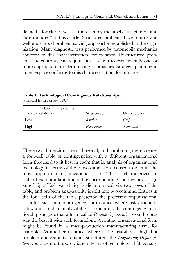defined"; for clarity, we use more simply the labels "structured" and "unstructured" in this article. Structured problems have routine and well-understood problem-solving approaches established in the organization. Many diagnostic tests performed by automobile mechanics conform to this characterization, for instance. Unstructured problems, by contrast, can require novel search to even identify one or more appropriate problem-solving approaches. Strategic planning in an enterprise conforms to this characterization, for instance.

**Table 1. Technological Contingency Relationships.**  (adapted from Perrow 1967)

| Problem analyzability:<br>Task variability\ | Structured  | Unstructured      |
|---------------------------------------------|-------------|-------------------|
| Low                                         | Routine     | Craft             |
| High                                        | Engineering | <i>Nonroutine</i> |

These two dimensions are orthogonal, and combining them creates a four-cell table of contingencies, with a different organizational form theorized to fit best in each; that is, analysis of organizational technology in terms of these two dimensions is used to identify the most appropriate organizational form. This is characterized in Table 1 via our adaptation of the corresponding contingency design knowledge. Task variability is dichotomized via two rows of the table, and problem analyzability is split into two columns. Entries in the four cells of the table prescribe the preferred organizational form for each joint contingency. For instance, where task variability is low and problem analyzability is structured, the contingency relationship suggests that a form called *Routine Organization* would represent the best fit with such technology. A routine organizational form might be found in a mass-production manufacturing firm, for example. As another instance, where task variability is high but problem analyzability remains structured, the *Engineering Organization* would be most appropriate in terms of technological fit. As sug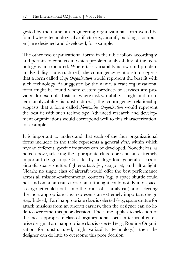gested by the name, an engineering organizational form would be found where technological artifacts (e.g., aircraft, buildings, computers) are designed and developed, for example.

The other two organizational forms in the table follow accordingly, and pertain to contexts in which problem analyzability of the technology is unstructured. Where task variability is low (and problem analyzability is unstructured), the contingency relationship suggests that a form called *Craft Organization* would represent the best fit with such technology. As suggested by the name, a craft organizational form might be found where custom products or services are provided, for example. Instead, where task variability is high (and problem analyzability is unstructured), the contingency relationship suggests that a form called *Nonroutine Organization* would represent the best fit with such technology. Advanced research and development organizations would correspond well to this characterization, for example.

It is important to understand that each of the four organizational forms included in the table represents a general *class*, within which myriad different, specific instances can be developed. Nonetheless, as noted above, selecting the appropriate class represents an extremely important design step. Consider by analogy four general classes of aircraft: space shuttle, fighter-attack jet, cargo jet, and ultra light. Clearly, no single class of aircraft would offer the best performance across all mission-environmental contexts (e.g., a space shuttle could not land on an aircraft carrier; an ultra light could not fly into space; a cargo jet could not fit into the trunk of a family car), and selecting the most appropriate class represents an extremely important design step. Indeed, if an inappropriate class is selected (e.g., space shuttle for attack missions from an aircraft carrier), then the designer can do little to overcome this poor decision. The same applies to selection of the most appropriate class of organizational form in terms of enterprise design: if an inappropriate class is selected (e.g., Routine Organization for unstructured, high variability technology), then the designer can do little to overcome this poor decision.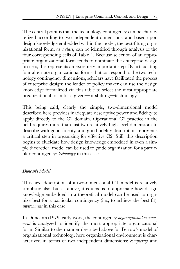The central point is that the technology contingency can be characterized according to two independent dimensions, and based upon design knowledge embedded within the model, the best-fitting organizational form, *as a class*, can be identified through analysis of the four corresponding cells of Table 1. Because selection of an appropriate organizational form tends to dominate the enterprise design process, this represents an extremely important step. By articulating four alternate organizational forms that correspond to the two technology contingency dimensions, scholars have facilitated the process of enterprise design: the leader or policy maker can use the design knowledge formalized via this table to select the most appropriate organizational form for a given—or shifting—technology.

This being said, clearly the simple, two-dimensional model described here provides inadequate descriptive power and fidelity to apply directly to the C2 domain. Operational C2 practice in the field requires more than just two relatively high-level dimensions to describe with good fidelity, and good fidelity description represents a critical step in organizing for effective C2. Still, this description begins to elucidate how design knowledge embedded in even a simple theoretical model can be used to guide organization for a particular contingency: *technology* in this case.

#### *Duncan's Model*

This next description of a two-dimensional CT model is relatively simplistic also, but as above, it equips us to appreciate how design knowledge embedded in a theoretical model can be used to organize best for a particular contingency (i.e., to achieve the best fit): *environment* in this case.

In Duncan's (1979) early work, the contingency *organizational environment* is analyzed to identify the most appropriate organizational form. Similar to the manner described above for Perrow's model of organizational technology, here organizational environment is characterized in terms of two independent dimensions: *complexity* and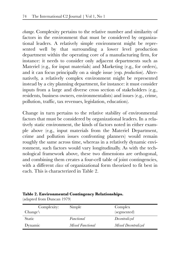*change*. Complexity pertains to the relative number and similarity of factors in the environment that must be considered by organizational leaders. A relatively simple environment might be represented well by that surrounding a lower level production department within the operating core of a manufacturing firm, for instance: it needs to consider only adjacent departments such as Materiel (e.g., for input materials) and Marketing (e.g., for orders), and it can focus principally on a single issue (esp. *production*). Alternatively, a relatively complex environment might be represented instead by a city planning department, for instance: it must consider inputs from a large and diverse cross section of stakeholders (e.g., residents, business owners, environmentalists) and issues (e.g., crime, pollution, traffic, tax revenues, legislation, education).

Change in turn pertains to the relative stability of environmental factors that must be considered by organizational leaders. In a relatively static environment, the kinds of factors noted in either example above (e.g., input materials from the Materiel Department, crime and pollution issues confronting planners) would remain roughly the same across time, whereas in a relatively dynamic environment, such factors would vary longitudinally. As with the technological framework above, these two dimensions are orthogonal, and combining them creates a four-cell table of joint contingencies, with a different *class* of organizational form theorized to fit best in each. This is characterized in Table 2.

#### **Table 2. Environmental Contingency Relationships.**

(adapted from Duncan 1979)

| Complexity:        | Simple           | Complex             |
|--------------------|------------------|---------------------|
| $Change \setminus$ |                  | (segmented)         |
| <b>Static</b>      | Functional       | Decentralized       |
| Dynamic            | Mixed Functional | Mixed Decentralized |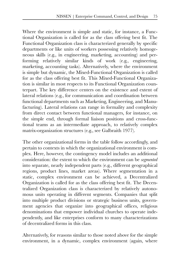Where the environment is simple and static, for instance, a Functional Organization is called for as the class offering best fit. The Functional Organization class is characterized generally by specific departments or like units of workers possessing relatively homogeneous skills (e.g., in engineering, marketing, accounting) and performing relatively similar kinds of work (e.g., engineering, marketing, accounting tasks). Alternatively, where the environment is simple but dynamic, the Mixed-Functional Organization is called for as the class offering best fit. This Mixed-Functional Organization is similar in most respects to its Functional Organization counterpart. The key difference centers on the existence and extent of lateral relations (e.g., for communication and coordination between functional departments such as Marketing, Engineering, and Manufacturing). Lateral relations can range in formality and complexity from direct contact between functional managers, for instance, on the simple end, through formal liaison positions and cross-functional teams as an intermediate approach, to relatively complex matrix-organization structures (e.g., see Galbraith 1977).

The other organizational forms in the table follow accordingly, and pertain to contexts in which the organizational environment is complex. Here, however, the contingency model includes an additional consideration: the extent to which the environment can be *segmented* into separate, nearly independent parts (e.g., different geographical regions, product lines, market areas). Where segmentation in a static, complex environment can be achieved, a Decentralized Organization is called for as the class offering best fit. The Decentralized Organization class is characterized by relatively autonomous units operating in different segments. Companies that split into multiple product divisions or strategic business units, government agencies that organize into geographical offices, religious denominations that empower individual churches to operate independently, and like enterprises conform to many characterizations of decentralized forms in this class.

Alternatively, for reasons similar to those noted above for the simple environment, in a dynamic, complex environment (again, where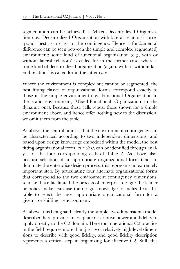segmentation can be achieved), a Mixed-Decentralized Organization (i.e., Decentralized Organization with lateral relations) corresponds best as a class to the contingency. Hence a fundamental difference can be seen between the simple and complex (segmented) environment: some kind of functional organization (e.g., with or without lateral relations) is called for in the former case, whereas some kind of decentralized organization (again, with or without lateral relations) is called for in the latter case.

Where the environment is complex but cannot be segmented, the best fitting classes of organizational forms correspond exactly to those in the simple environment (i.e., Functional Organization in the static environment, Mixed-Functional Organization in the dynamic one). Because these cells repeat those shown for a simple environment above, and hence offer nothing new to the discussion, we omit them from the table.

As above, the central point is that the environment contingency can be characterized according to two independent dimensions, and based upon design knowledge embedded within the model, the best fitting organizational form, *as a class*, can be identified through analysis of the four corresponding cells of Table 2. As above also, because selection of an appropriate organizational form tends to dominate the enterprise design process, this represents an extremely important step. By articulating four alternate organizational forms that correspond to the two environment contingency dimensions, scholars have facilitated the process of enterprise design: the leader or policy maker can use the design knowledge formalized via this table to select the most appropriate organizational form for a given—or shifting—environment.

As above, this being said, clearly the simple, two-dimensional model described here provides inadequate descriptive power and fidelity to apply directly to the C2 domain. Here too, operational C2 practice in the field requires more than just two, relatively high-level dimensions to describe with good fidelity, and good fidelity description represents a critical step in organizing for effective C2. Still, this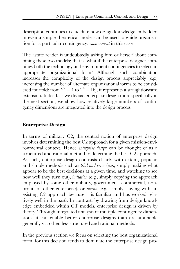description continues to elucidate how design knowledge embedded in even a simple theoretical model can be used to guide organization for a particular contingency: *environment* in this case.

The astute reader is undoubtedly asking him or herself about combining these two models; that is, what if the enterprise designer combines both the technology and environment contingencies to select an appropriate organizational form? Although such combination increases the complexity of the design process appreciably (e.g., increasing the number of alternate organizational forms to be considered fourfold: from  $2^2 = 4$  to  $2^4 = 16$ , it represents a straightforward extension. Indeed, as we discuss enterprise design more specifically in the next section, we show how relatively large numbers of contingency dimensions are integrated into the design process.

#### **Enterprise Design**

In terms of military C2, the central notion of enterprise design involves determining the best C2 approach for a given mission-environmental context. Hence *enterprise design* can be thought of as a structured and rational method to determine the best C2 approach. As such, enterprise design contrasts clearly with extant, popular, and simple methods such as *trial and error* (e.g., simply making what appear to be the best decisions at a given time, and watching to see how well they turn out), *imitation* (e.g., simply copying the approach employed by some other military, government, commercial, nonprofit, or other enterprise), or *inertia* (e.g., simply staying with an existing C2 approach because it is familiar and has worked relatively well in the past). In contrast, by drawing from design knowledge embedded within CT models, enterprise design is driven by theory. Through integrated analysis of multiple contingency dimensions, it can enable better enterprise designs than are attainable generally via other, less structured and rational methods.

In the previous section we focus on selecting the best organizational form, for this decision tends to dominate the enterprise design pro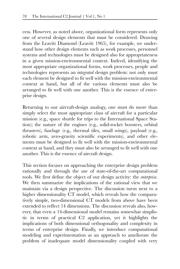cess. However, as noted above, organizational form represents only one of several design elements that must be considered. Drawing from the Leavitt Diamond (Leavitt 1965), for example, we understand how other design elements such as work processes, personnel systems and technologies must be designed also for appropriateness in a given mission-environmental context. Indeed, identifying the most appropriate organizational forms, work processes, people and technologies represents an *integrated* design problem: not only must each element be designed to fit well with the mission-environmental context at hand, but all of the various elements must also be arranged to fit well with one another. This is the essence of enterprise design.

Returning to our aircraft-design analogy, one must do more than simply select the most appropriate class of aircraft for a particular mission (e.g., space shuttle for trips to the International Space Station); the nature of the engines (e.g., solid-rocket boosters, orbital thrusters), fuselage (e.g., thermal tiles, small wings), payload (e.g., robotic arm, zero-gravity scientific experiments), and other elements must be designed to fit well with the mission-environmental context at hand, and they must also be arranged to fit well with one another. This is the essence of aircraft design.

This section focuses on approaching the enterprise design problem rationally and through the use of state-of-the-art computational tools. We first define the object of our design activity: the *enterprise*. We then summarize the implications of the rational view that we maintain via a design perspective. The discussion turns next to a higher dimensionality CT model, which reveals how the comparatively simple, two-dimensional CT models from above have been extended to reflect 14 dimensions. The discussion reveals also, however, that even a 14-dimensional model remains somewhat simplistic in terms of practical C2 application, yet it highlights the implications of both dimensional orthogonality and complexity in terms of enterprise design. Finally, we introduce computational modeling and experimentation as an approach to ameliorate the problem of inadequate model dimensionality coupled with very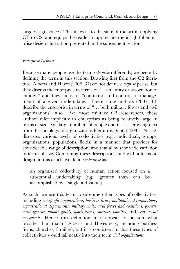large design spaces. This takes us to the state of the art in applying CT to C2, and equips the reader to appreciate the insightful enterprise design illustration presented in the subsequent section.

#### *Enterprise Defined*

Because many people use the term *enterprise* differently, we begin by defining the term in this section. Drawing first from the C2 literature, Alberts and Hayes (2006, 34) do not define *enterprise* per se, but they discuss the enterprise in terms of "…an entity or association of entities," and they focus on "command and control (or management) of a given undertaking." These same authors (2007, 14) describe the enterprise in terms of "… both military forces and civil organizations" also. Like most military C2 researchers, these authors refer implicitly to enterprises as being relatively large in terms of size (e.g., large numbers of people and tasks). Drawing next from the sociology of organizations literature, Scott (2003, 129-132) discusses various levels of collectivities (e.g., individuals, groups, organizations, populations, fields) in a manner that provides for considerable range of description, and that allows for wide variation in terms of size. Combining these descriptions, and with a focus on design, in this article we define *enterprise* as:

an organized collectivity of human action focused on a substantial undertaking (e.g., greater than can be accomplished by a single individual).

As such, we use this term to subsume other types of collectivities, including *non-profit organizations, business firms, multinational corporations, organizational departments, military units, task forces and coalitions, government agencies, unions, guilds, sports teams, churches, families*, and even *social movements*. Hence this definition may appear to be somewhat broader than that of Alberts and Hayes (e.g., including business firms, churches, families), but it is consistent in that these types of collectivities would fall neatly into their term *civil organizations*.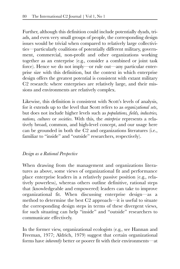Further, although this definition could include potentially dyads, triads, and even very small groups of people, the corresponding design issues would be trivial when compared to relatively large collectivities—particularly coalitions of potentially different military, government, commercial, non-profit and other organizations working together as an enterprise (e.g., consider a combined or joint task force). Hence we do not imply—or rule out—any particular enterprise size with this definition, but the context in which enterprise design offers the greatest potential is consistent with extant military C2 research: where enterprises are relatively large, and their missions and environments are relatively complex.

Likewise, this definition is consistent with Scott's levels of analysis, for it extends up to the level that Scott refers to as *organizational sets*, but does not include higher levels such as *populations, fields, industries, nations, cultures* or *societies*. With this, the *enterprise* represents a relatively broad, common, and high-level concept, and our usage here can be grounded in both the C2 and organizations literatures (i.e., familiar to "inside" and "outside" researchers, respectively).

#### *Design as a Rational Perspective*

When drawing from the management and organizations literatures as above, some views of organizational fit and performance place enterprise leaders in a relatively passive position (e.g., relatively powerless), whereas others outline definitive, rational steps that (knowledgeable and empowered) leaders can take to improve organizational fit. When discussing enterprise design—as a method to determine the best C2 approach—it is useful to situate the corresponding design steps in terms of these divergent views, for such situating can help "inside" and "outside" researchers to communicate effectively.

In the former view, organizational ecologists (e.g., see Hannan and Freeman, 1977; Aldrich, 1979) suggest that certain organizational forms have *inherently* better or poorer fit with their environments—at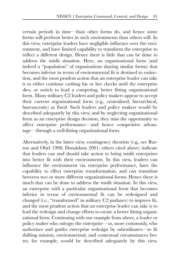certain periods in time—than other forms do, and hence some forms will perform better in such environments than others will. In this view, enterprise leaders have negligible influence over the environment, and have limited capability to transform the enterprise to reflect a different design. Hence there is little that can be done to address the misfit situation. Here, an organizational form (and indeed a "population" of organizations sharing similar forms) that becomes inferior in terms of environmental fit is destined to extinction, and the most prudent action that an enterprise leader can take is to either continue cashing his or her checks until the enterprise dies, or switch to lead a competing, better fitting organizational form. Many military C2 leaders and policy makers appear to accept their current organizational form (e.g., centralized, hierarchical, bureaucratic) as fixed. Such leaders and policy makers would be described adequately by this view, and by neglecting organizational form as an enterprise design decision, they miss the opportunity to affect enterprise performance—and hence competitive advantage—through a well-fitting organizational form.

Alternatively, in the latter view, contingency theorists (e.g., see Burton and Obel 1998; Donaldson 2001; others cited above) indicate that leaders can and should take action to bring misfit enterprises into better fit with their environments. In this view, leaders can influence the environment via enterprise performance, have the capability to effect enterprise transformation, and can transition between two or more different organizational forms. Hence there is much that can be done to address the misfit situation. In this view, an enterprise with a particular organizational form that becomes inferior in terms of environmental fit can be redesigned and changed (i.e., "transformed" in military C2 parlance) to improve fit, and the most prudent action that an enterprise leader can take is to lead the redesign and change efforts to create a better fitting organizational form. Continuing with our example from above, a leader or policy maker who *redesigns* the enterprise—or, more commonly, who authorizes and guides enterprise redesign by subordinates—to fit shifting mission, environmental, and contextual circumstances better, for example, would be described adequately by this view.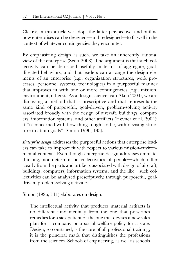Clearly, in this article we adopt the latter perspective, and outline how enterprises can be designed—and redesigned—to fit well in the context of whatever contingencies they encounter.

By emphasizing design as such, we take an inherently rational view of the enterprise (Scott 2003). The argument is that such collectivity can be described usefully in terms of aggregate, goaldirected behaviors, and that leaders can arrange the design elements of an enterprise (e.g., organization structures, work processes, personnel systems, technologies) in a purposeful manner that improves fit with one or more contingencies (e.g., mission, environment, others). As a design science (van Aken 2004), we are discussing a method that is prescriptive and that represents the same kind of purposeful, goal-driven, problem-solving activity associated broadly with the design of aircraft, buildings, computers, information systems, and other artifacts (Hevner et al. 2004): it "is concerned with how things ought to be, with devising structure to attain goals" (Simon 1996, 133).

*Enterprise design* addresses the purposeful actions that enterprise leaders can take to improve fit with respect to various mission-environmental contexts. Even though enterprise design addresses animate, thinking, non-deterministic collectivities of people—which differ clearly from the parts and artifacts associated with design of aircraft, buildings, computers, information systems, and the like—such collectivities can be analyzed prescriptively, through purposeful, goaldriven, problem-solving activities.

Simon (1996, 111) elaborates on design:

The intellectual activity that produces material artifacts is no different fundamentally from the one that prescribes remedies for a sick patient or the one that devises a new sales plan for a company or a social welfare policy for a state. Design, so construed, is the core of all professional training; it is the principal mark that distinguishes the professions from the sciences. Schools of engineering, as well as schools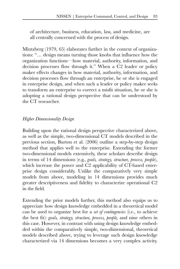of architecture, business, education, law, and medicine, are all centrally concerned with the process of design.

Mintzberg (1979, 65) elaborates further in the context of organizations: "… design means turning those knobs that influence how the organization functions—how material, authority, information, and decision processes flow through it." When a C2 leader or policy maker effects changes in how material, authority, information, and decision processes flow through an enterprise, he or she is engaged in enterprise design, and when such a leader or policy maker seeks to transform an enterprise to correct a misfit situation, he or she is adopting a rational design perspective that can be understood by the CT researcher.

#### *Higher Dimensionality Design*

Building upon the rational design perspective characterized above, as well as the simple, two-dimensional CT models described in the previous section, Burton et al. (2006) outline a step-by-step design method that applies well to the enterprise. Extending the former two-dimensional models extensively, these scholars describe design in terms of 14 dimensions (e.g., *goals, strategy, structure, process, people*), which increase the power and C<sub>2</sub> applicability of CT-based enterprise design considerably. Unlike the comparatively very simple models from above, modeling in 14 dimensions provides much greater descriptiveness and fidelity to characterize operational C2 in the field.

Extending the prior models further, this method also equips us to appreciate how design knowledge embedded in a theoretical model can be used to organize best for a *set of contingencies* (i.e., to achieve the best fit): *goals, strategy, structure, process, people,* and nine others in this case. However, in contrast with using design knowledge embedded within the comparatively simple, two-dimensional, theoretical models described above, trying to leverage such design knowledge characterized via 14 dimensions becomes a very complex activity.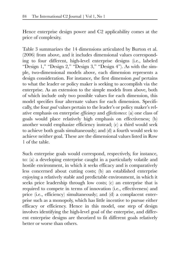Hence enterprise design power and C2 applicability comes at the price of complexity.

Table 3 summarizes the 14 dimensions articulated by Burton et al. (2006) from above, and it includes dimensional values corresponding to four different, high-level enterprise designs (i.e., labeled "Design 1," "Design 2," "Design 3," "Design 4"). As with the simple, two-dimensional models above, each dimension represents a design consideration. For instance, the first dimension *goal* pertains to what the leader or policy maker is seeking to accomplish via the enterprise. As an extension to the simple models from above, both of which include only two possible values for each dimension, this model specifies four alternate values for each dimension. Specifically, the four *goal* values pertain to the leader's or policy maker's relative emphasis on enterprise *efficiency* and *effectiveness*: (a) one class of goals would place relatively high emphasis on effectiveness; (b) another would emphasize efficiency instead; (c) a third would seek to achieve both goals simultaneously; and (d) a fourth would seek to achieve neither goal. These are the dimensional values listed in Row 1 of the table.

Such enterprise goals would correspond, respectively, for instance, to: (a) a developing enterprise caught in a particularly volatile and hostile environment, in which it seeks efficacy and is comparatively less concerned about cutting costs; (b) an established enterprise enjoying a relatively stable and predictable environment, in which it seeks price leadership through low costs; (c) an enterprise that is required to compete in terms of innovation (i.e., effectiveness) and price (i.e., efficiency) simultaneously; and (d) a complacent enterprise such as a monopoly, which has little incentive to pursue either efficacy or efficiency. Hence in this model, one step of design involves identifying the high-level goal of the enterprise, and different enterprise designs are theorized to fit different goals relatively better or worse than others.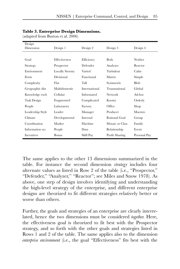| Design             |                       |               |                |              |
|--------------------|-----------------------|---------------|----------------|--------------|
| Dimension          | Design 1              | Design 2      | Design 3       | Design 4     |
|                    |                       |               |                |              |
| Goal               | Effectiveness         | Efficiency    | <b>Both</b>    | Neither      |
| Strategy           | Prospector            | Defender      | Analyzer       | Reactor      |
| Environment        | <b>Locally Stormy</b> | Varied        | Turbulent      | Calm         |
| Form               | Divisional            | Functional    | Matrix         | Simple       |
| Complexity         | Flat                  | Tall          | Symmetric      | <b>Blob</b>  |
| Geographic dist    | Multidomestic         | International | Transnational  | Global       |
| Knowledge exch     | Cellular              | Informated    | <b>Network</b> | Ad-hoc       |
| <b>Task Design</b> | Fragmented            | Complicated   | Knotty         | Orderly      |
| People             | Laboratory            | Factory       | Office         | Shop         |
| Leadership Style   | Leader                | Manager       | Producer       | Maestro      |
| Climate            | Developmental         | Internal      | Rational Goal  | Group        |
| Coordination       | Market                | Machine       | Mosaic or Clan | Family       |
| Information sys    | People                | Data          | Relationship   | Event        |
| Incentives         | Bonus                 | Skill Pay     | Profit Sharing | Personal Pay |

#### **Table 3. Enterprise Design Dimensions.**

(adapted from Burton et al. 2006)

The same applies to the other 13 dimensions summarized in the table. For instance the second dimension *strategy* includes four alternate values as listed in Row 2 of the table (i.e., "Prospector," "Defender," "Analyzer," "Reactor"; see Miles and Snow 1978). As above, one step of design involves identifying and understanding the high-level strategy of the enterprise, and different enterprise designs are theorized to fit different strategies relatively better or worse than others.

Further, the goals and strategies of an enterprise are clearly interrelated, hence the two dimensions must be considered *together*. Here, the effectiveness goal is theorized to fit best with the Prospector strategy, and so forth with the other goals and strategies listed in Rows 1 and 2 of the table. The same applies also to the dimension *enterprise environment* (i.e., the goal "Effectiveness" fits best with the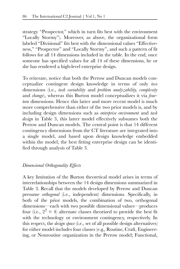strategy "Prospector," which in turn fits best with the environment "Locally Stormy"). Moreover, as above, the organizational form labeled "Divisional" fits best with the dimensional values "Effectiveness," "Prospector" and "Locally Stormy", and such a pattern of fit follows for all 14 dimensions included in the table. In the end, once someone has specified values for all 14 of these dimensions, he or she has rendered a high-level enterprise design.

To reiterate, notice that both the Perrow and Duncan models conceptualize contingent design knowledge in terms of only *two* dimensions (i.e., *task variability* and *problem analyzability, complexity* and *change*), whereas this Burton model conceptualizes it via *fourteen* dimensions. Hence this latter and more recent model is much more comprehensive than either of the two prior models is, and by including design dimensions such as *enterprise environment* and *task design* in Table 3, this latter model effectively subsumes both the Perrow and Duncan models. The central point is that 14 different contingency dimensions from the CT literature are integrated into a single model, and based upon design knowledge embedded within the model, the best fitting enterprise design can be identified through analysis of Table 3.

#### *Dimensional Orthogonality Effects*

A key limitation of the Burton theoretical model arises in terms of interrelationships between the 14 design dimensions summarized in Table 3. Recall that the models developed by Perrow and Duncan presume *orthogonal* (i.e., independent) dimensions. Specifically, in both of the prior models, the combination of two, orthogonal dimensions—each with two possible dimensional values—produces four (i.e.,  $2^2 = 4$ ) alternate classes theorized to provide the best fit with the technology or environment contingency, respectively. In this respect, the *design space* (i.e., set of all possible design alternatives) for either model includes four classes (e.g., Routine, Craft, Engineering, or Nonroutine organization in the Perrow model; Functional,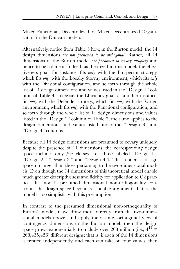Mixed Functional, Decentralized, or Mixed Decentralized Organization in the Duncan model).

Alternatively, notice from Table 3 how, in the Burton model, the 14 design dimensions *are not presumed to be orthogonal*. Rather, all 14 dimensions of the Burton model *are presumed to covary uniquely* and hence to be collinear. Indeed, as theorized in this model, the effectiveness goal, for instance, fits *only* with the Prospector strategy, which fits *only* with the Locally Stormy environment, which fits *only* with the Divisional configuration, and so forth through the whole list of 14 design dimensions and values listed in the "Design 1" column of Table 3. Likewise, the Efficiency goal, as another instance, fits *only* with the Defender strategy, which fits *only* with the Varied environment, which fits *only* with the Functional configuration, and so forth through the whole list of 14 design dimensions and values listed in the "Design 2" column of Table 3; the same applies to the design dimensions and values listed under the "Design 3" and "Design 4" columns.

Because all 14 design dimensions are presumed to covary uniquely, despite the presence of 14 dimensions, the corresponding design space includes only *four* classes (i.e., those labeled "Design 1," "Design 2," "Design 3," and "Design 4"). This renders a design space no larger than those pertaining to the two-dimensional models. Even though the 14 dimensions of this theoretical model enable much greater descriptiveness and fidelity for application to C2 practice, the model's presumed dimensional non-orthogonality constrains the design space beyond reasonable argument; that is, the model is too simplistic with this presumption.

In contrast to the presumed dimensional non-orthogonality of Burton's model, if we draw more directly from the two-dimensional models above, and apply their same, orthogonal view of contingency dimensions to the Burton model, then the design space grows exponentially to include over 268 million (i.e.,  $4^{14}$  = 268,435,456) different designs; that is, if each of the 14 dimensions is treated independently, and each can take on four values, then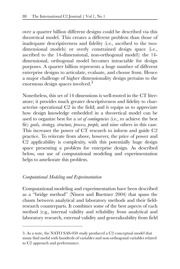over a quarter billion different designs could be described via this theoretical model. This creates a different problem than those of inadequate descriptiveness and fidelity (i.e., ascribed to the twodimensional models) or overly constrained design space (i.e., ascribed to the 14-dimensional, non-orthogonal model): the 14 dimensional, orthogonal model becomes intractable for design purposes. A quarter billion represents a huge number of different enterprise designs to articulate, evaluate, and choose from. Hence a major challenge of higher dimensionality design pertains to the enormous design spaces involved.<sup>3</sup>

Nonetheless, this set of 14 dimensions is well-rooted in the CT literature; it provides much greater descriptiveness and fidelity to characterize operational C2 in the field; and it equips us to appreciate how design knowledge embedded in a theoretical model can be used to organize best for a *set of contingencies* (i.e., to achieve the best fit): *goals, strategy, structure, process, people,* and nine others in this case. This increases the power of CT research to inform and guide C2 practice. To reiterate from above, however, the price of power and C2 applicability is complexity, with this potentially huge design space presenting a problem for enterprise design. As described below, our use of computational modeling and experimentation helps to ameliorate this problem.

#### *Computational Modeling and Experimentation*

Computational modeling and experimentation have been described as a "bridge method" (Nissen and Buettner 2004) that spans the chasm between analytical and laboratory methods and their fieldresearch counterparts. It combines some of the best aspects of each method (e.g., internal validity and reliability from analytical and laboratory research, external validity and generalizability from field

<sup>3.</sup> As a note, the NATO SAS-050 study produced a C2 conceptual model that many find useful with hundreds of variables and non-orthogonal variables related to C2 approach and performance.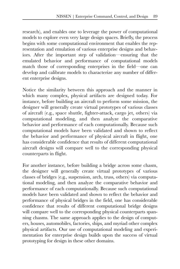research), and enables one to leverage the power of computational models to explore even very large design spaces. Briefly, the process begins with some computational environment that enables the representation and emulation of various enterprise designs and behaviors. After the important step of validation—ensuring that the emulated behavior and performance of computational models match those of corresponding enterprises in the field—one can develop and calibrate models to characterize any number of different enterprise designs.

Notice the similarity between this approach and the manner in which many complex, physical artifacts are designed today. For instance, before building an aircraft to perform some mission, the designer will generally create virtual prototypes of various classes of aircraft (e.g., space shuttle, fighter-attack, cargo jet, others) via computational modeling, and then analyze the comparative behavior and performance of each computationally. Because such computational models have been validated and shown to reflect the behavior and performance of physical aircraft in flight, one has considerable confidence that results of different computational aircraft designs will compare well to the corresponding physical counterparts in flight.

For another instance, before building a bridge across some chasm, the designer will generally create virtual prototypes of various classes of bridges (e.g., suspension, arch, truss, others) via computational modeling, and then analyze the comparative behavior and performance of each computationally. Because such computational models have been validated and shown to reflect the behavior and performance of physical bridges in the field, one has considerable confidence that results of different computational bridge designs will compare well to the corresponding physical counterparts spanning chasms. The same approach applies to the design of computers, houses, automobiles, factories, ships, and myriad other complex physical artifacts. Our use of computational modeling and experimentation for enterprise design builds upon the success of virtual prototyping for design in these other domains.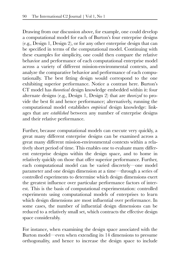Drawing from our discussion above, for example, one could develop a computational model for each of Burton's four enterprise designs (e.g., Design 1, Design 2), or for any other enterprise design that can be specified in terms of the computational model. Continuing with these examples for simplicity, one could then compare the relative behavior and performance of each computational enterprise model across a variety of different mission-environmental contexts, and analyze the comparative behavior and performance of each computationally. The best fitting design would correspond to the one exhibiting superior performance. Notice a contrast here. Burton's CT model has *theoretical* design knowledge embedded within it: four alternate designs (e.g., Design 1, Design 2) that are *theorized* to provide the best fit and hence performance; alternatively, running the computational model establishes *empirical* design knowledge: linkages that are *established* between any number of enterprise designs and their relative performance.

Further, because computational models can execute very quickly, a great many different enterprise designs can be examined across a great many different mission-environmental contexts within a relatively short period of time. This enables one to evaluate many different enterprise designs within the design space, and to home in relatively quickly on those that offer superior performance. Further, each computational model can be varied discretely—one model parameter and one design dimension at a time—through a series of controlled experiments to determine which design dimensions exert the greatest influence over particular performance factors of interest. This is the basis of computational experimentation: controlled experiments using computational models of enterprises to learn which design dimensions are most influential over performance. In some cases, the number of influential design dimensions can be reduced to a relatively small set, which contracts the effective design space considerably.

For instance, when examining the design space associated with the Burton model—even when extending its 14 dimensions to presume orthogonality, and hence to increase the design space to include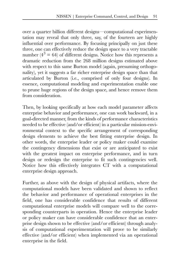over a quarter billion different designs—computational experimentation may reveal that only three, say, of the fourteen are highly influential over performance. By focusing principally on just these three, one can effectively reduce the design space to a very tractable number ( $4^3$  = 64) of different designs. Notice how this represents a dramatic reduction from the 268 million designs estimated above with respect to this same Burton model (again, presuming orthogonality), yet it suggests a far richer enterprise design space than that articulated by Burton (i.e., comprised of only four designs). In essence, computational modeling and experimentation enable one to prune huge regions of the design space, and hence remove them from consideration.

Then, by looking specifically at how each model parameter affects enterprise behavior and performance, one can work backward, in a goal-directed manner, from the kinds of performance characteristics needed to be effective (and/or efficient) in a particular mission-environmental context to the specific arrangement of corresponding design elements to achieve the best fitting enterprise design. In other words, the enterprise leader or policy maker could examine the contingency dimensions that exist or are anticipated to exist with the greatest impact on enterprise performance, and in turn design or redesign the enterprise to fit such contingencies well. Notice how this effectively integrates CT with a computational enterprise design approach.

Further, as above with the design of physical artifacts, where the computational models have been validated and shown to reflect the behavior and performance of operational enterprises in the field, one has considerable confidence that results of different computational enterprise models will compare well to the corresponding counterparts in operation. Hence the enterprise leader or policy maker can have considerable confidence that an enterprise design shown to be effective (and/or efficient) through analysis of computational experimentation will prove to be similarly effective (and/or efficient) when implemented via an operational enterprise in the field.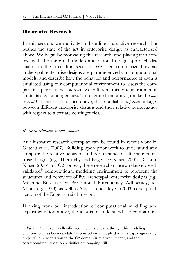#### **Illustrative Research**

In this section, we motivate and outline illustrative research that pushes the state of the art in enterprise design as characterized above. We begin by motivating this research, and placing it in context with the three CT models and rational design approach discussed in the preceding sections. We then summarize how six archetypal, enterprise designs are parameterized via computational models, and describe how the behavior and performance of each is emulated using our computational environment to assess the comparative performance across two different mission-environmental contexts (i.e., contingencies). To reiterate from above, unlike the *theoretical* CT models described above, this establishes *empirical* linkages between different enterprise designs and their relative performance with respect to alternate contingencies.

#### *Research Motivation and Context*

An illustrative research exemplar can be found in recent work by Gateau et al. (2007). Building upon prior work to understand and compare the relative behavior and performance of alternate enterprise designs (e.g., Hierarchy and Edge; see Nissen 2005; Orr and Nissen 2006) in a C2 context, these researchers use a relatively wellvalidated $4$  computational modeling environment to represent the structures and behaviors of five archetypal, enterprise designs (e.g., Machine Bureaucracy, Professional Bureaucracy, Adhocracy; see Mintzberg 1979), as well as Alberts' and Hayes' (2003) conceptualization of the Edge as a sixth design.

Drawing from our introduction of computational modeling and experimentation above, the idea is to understand the comparative

<sup>4.</sup> We say "relatively well-validated" here, because although this modeling environment has been validated extensively in multiple domains (esp. engineering projects), our adaptation to the C2 domain is relatively recent, and the corresponding validation activities are ongoing still.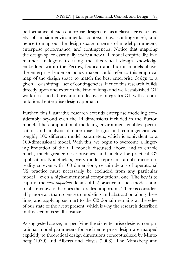performance of each enterprise design (i.e., as a class), across a variety of mission-environmental contexts (i.e., contingencies), and hence to map out the design space in terms of model parameters, enterprise performance, and contingencies. Notice that mapping the design space essentially *creates* a new CT model empirically. In a manner analogous to using the theoretical design knowledge embedded within the Perrow, Duncan and Burton models above, the enterprise leader or policy maker could refer to this empirical map of the design space to match the best enterprise design to a given—or shifting—set of contingencies. Hence this research builds directly upon and extends the kind of long- and well-established CT work described above, and it effectively integrates CT with a computational enterprise design approach.

Further, this illustrative research extends enterprise modeling considerably beyond even the 14 dimensions included in the Burton model. The computational modeling environment enables specification and analysis of enterprise designs and contingencies via roughly 100 different model parameters, which is equivalent to a 100-dimensional model. With this, we begin to overcome a lingering limitation of the CT models discussed above, and to enable much, much greater descriptiveness and fidelity for practical C2 application. Nonetheless, every model represents an abstraction of reality, so even with 100 dimensions, certain details of operational C2 practice must necessarily be excluded from any particular model—even a high-dimensional computational one. The key is to capture the *most important* details of C2 practice in such models, and to abstract away the ones that are less important. There is considerably more art than science to modeling and abstraction along these lines, and applying such art to the C2 domain remains at the edge of our state of the art at present, which is why the research described in this section is so illustrative.

As suggested above, in specifying the six enterprise designs, computational model parameters for each enterprise design are mapped explicitly to theoretical design dimensions conceptualized by Mintzberg (1979) and Alberts and Hayes (2003). The Mintzberg and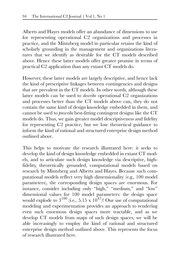Alberts and Hayes models offer an abundance of dimensions to use for representing operational C2 organizations and processes in practice, and the Mintzberg model in particular retains the kind of scholarly grounding in the management and organizations literatures that we identify as desirable for the CT models described above. Hence these latter models offer greater promise in terms of practical C2 application than any extant CT models do.

However, these latter models are largely descriptive, and hence lack the kind of prescriptive linkages between contingencies and designs that are prevalent in the CT models. In other words, although these latter models can be used to *describe* operational C2 organizations and processes better than the CT models above can, they do not contain the same kind of design knowledge embedded in them, and cannot be used to *prescribe* best-fitting contingent designs like the CT models do. Thus, we gain greater model descriptiveness and fidelity for representing C2 practice, but we lose theoretical guidance to inform the kind of rational and structured enterprise design method outlined above.

This helps to motivate the research illustrated here: it seeks to develop the kind of design knowledge embedded in extant CT models, and to articulate such design knowledge via descriptive, highfidelity, theoretically grounded, computational models based on research by Mintzberg and Alberts and Hayes. Because such computational models reflect very high dimensionality (e.g., 100 model parameters), the corresponding design spaces are enormous. For instance, consider including only "high," "medium," and "low" dimensional values for 100 model parameters: the design space would explode to  $3^{100}$  (i.e., 5.15 x  $10^{47}$ )! Our use of computational modeling and experimentation provides an approach to rendering even such enormous design spaces more tractable, and as we develop CT models from maps of such design spaces, we will be able increasingly to employ the kind of rational and structured enterprise design method outlined above. This represents the focus of research illustrated here.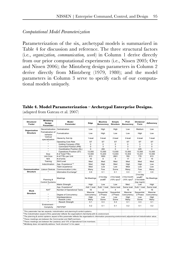#### *Computational Model Parameterization*

Parameterization of the six, archetypal models is summarized in Table 4 for discussion and reference. The three structural factors (i.e., *organization, communication, work*) in Column 1 derive directly from our prior computational experiments (i.e., Nissen 2005; Orr and Nissen 2006); the Mintzberg design parameters in Column 2 derive directly from Mintzberg (1979, 1980); and the model parameters in Column 3 serve to specify each of our computational models uniquely.

#### **Table 4. Model Parameterization – Archetypal Enterprise Designs.**

(adapted from Gateau et al. 2007)

| Structural<br>Factor                             | Mintzberg<br>Desian<br>Parameter     | Model<br>Parameter                                                                                                                                                        | Edge           | Machine<br><b>Bureacracy</b>                  | Simple<br><b>Structure</b>           | Prof.<br><b>Bureacracy</b>            | Divisional<br>Form                               | Adhocracv      |
|--------------------------------------------------|--------------------------------------|---------------------------------------------------------------------------------------------------------------------------------------------------------------------------|----------------|-----------------------------------------------|--------------------------------------|---------------------------------------|--------------------------------------------------|----------------|
| Decentralization<br>Organization                 |                                      | Centralization                                                                                                                                                            | I ow           | <b>High</b>                                   | High                                 | I ow                                  | Medium                                           | I ow           |
| Formalization of<br><b>Structure</b><br>hehavior | Formalization                        | Low                                                                                                                                                                       | High           | Low                                           | Low                                  | High                                  | Low                                              |                |
|                                                  | Vertical<br>specialization           | Hierarchy Set-Up                                                                                                                                                          | 1-level        | 3-level                                       | 2-level                              | 2-level                               | 4-level                                          | 1-level        |
|                                                  |                                      | Operating Core Role                                                                                                                                                       | <b>ST</b>      | <b>ST</b>                                     | <b>ST</b>                            | <b>ST</b>                             | <b>ST</b>                                        | ST             |
|                                                  |                                      | Holding Company (PM)                                                                                                                                                      | $\overline{0}$ | $\overline{0}$                                | $\overline{0}$                       | $\overline{0}$                        | 3                                                | $\overline{0}$ |
|                                                  | $\overline{a}$                       | Command Position (PM)                                                                                                                                                     | $\Omega$       | 3                                             | 3                                    | 3                                     | 3                                                | $\Omega$       |
|                                                  |                                      | Coordination Position (SL)                                                                                                                                                | $\Omega$       | 200                                           | 0                                    | $\Omega$                              | 225                                              | $\Omega$       |
|                                                  |                                      | Operations Position (ST)                                                                                                                                                  | 13.000         | 13.000                                        | 13.000                               | 13.000                                | 13.000                                           | 13.000         |
|                                                  | Size                                 | # of Total FTFs                                                                                                                                                           | 13.000         | 13,203                                        | 13.003                               | 13.003                                | 13.231                                           | 13.000         |
|                                                  | Unit Size                            | # of FTEs per Unit                                                                                                                                                        | 813            | 1650                                          | 2601                                 | 765                                   | 778                                              | 813            |
|                                                  | N/A                                  | # of Units                                                                                                                                                                | 16             | 8                                             | 5                                    | 17                                    | 17                                               | 16             |
|                                                  | Training                             | Skill Level                                                                                                                                                               | Med            | Med                                           | Med                                  | Med                                   | Med                                              | Med            |
|                                                  | Indoctrination                       | App. Experience <sup>1,2</sup>                                                                                                                                            | Med            | High                                          | Med                                  | High                                  | High                                             | I ow           |
|                                                  |                                      | Team experience                                                                                                                                                           | Med            | Low                                           | I ow                                 | Med                                   | Low                                              | Low            |
| Communication                                    | Liaison Devices                      | <b>Communication Links</b>                                                                                                                                                | Many           | Few                                           | Some                                 | Many                                  | Few                                              | Many           |
| <b>Structure</b>                                 |                                      | Information Exchange <sup>1</sup>                                                                                                                                         | 0.9            | 0.1                                           | 0.1                                  | 0.3                                   | 0.1                                              | 0.9            |
|                                                  |                                      |                                                                                                                                                                           |                |                                               |                                      |                                       | 2 hrs/day                                        |                |
|                                                  | Planning &<br><b>Control Systems</b> | Meetings                                                                                                                                                                  | No Meetings    | 2 hrs/dav<br>(s <sup>tan</sup> ) <sup>4</sup> | 2 hrs/week<br>$(10\% \text{ obs})^5$ | 2 hrs/month<br>$(10\% \text{ ops})^5$ | $(s\text{taff})^4$ .<br>2 hrs/week<br>(top mgmt) | No Meetings    |
|                                                  |                                      | Matrix Strength                                                                                                                                                           | High           | I ow                                          | I ow                                 | Med.                                  | Low                                              | High           |
|                                                  |                                      | App. Experience <sup>3</sup>                                                                                                                                              | Add 1 level    | Subt 1 level                                  | Same level                           | Same level                            | Subt 1 level                                     | Same level     |
|                                                  | N/A <sup>6</sup>                     | Number of Operational Tasks                                                                                                                                               | 16             | $\overline{4}$                                | 4                                    | 16                                    | 4                                                | 16             |
| Work                                             |                                      |                                                                                                                                                                           | Massive        | Sequential,                                   | Sequential,                          | Massive                               | Sequential,                                      | Massive        |
| <b>Structure</b>                                 |                                      | Degree of Concurrency                                                                                                                                                     | Concurrency    | 2 Phase                                       | 2 Phase                              | Concurrency                           | 2 Phase                                          | Concurrency    |
|                                                  |                                      | Interdependence                                                                                                                                                           | High           | I ow                                          | I ow                                 | High                                  | I ow                                             | High           |
|                                                  | $\overline{a}$                       | <b>Rework Links</b>                                                                                                                                                       | Many           | Some                                          | Some                                 | Many                                  | Some                                             | Many           |
|                                                  |                                      | <b>Rework Strength</b>                                                                                                                                                    | 0.1            | 0.3                                           | 0.3                                  | 0.1                                   | 0.3                                              | 0.1            |
|                                                  | Environment -<br>Complxity           | FEP/PEP                                                                                                                                                                   | 0.2            | 0.1                                           | 0.1                                  | 0.2                                   | 0.1                                              | 0.2            |
|                                                  |                                      | This parameter has two aspects: indoctrination and planning & control systems.                                                                                            |                |                                               |                                      |                                       |                                                  |                |
|                                                  |                                      | $2$ The indoctrination aspect of this parameter reflects the organization's familiarity with its environment.                                                             |                |                                               |                                      |                                       |                                                  |                |
|                                                  |                                      | <sup>3</sup> The planning & control systems aspect of this parameter reflects the organization's information processing environment; adjustment wrt indoctrination value. |                |                                               |                                      |                                       |                                                  |                |
|                                                  |                                      | These meetings are between the Commander and Staff members.                                                                                                               |                |                                               |                                      |                                       |                                                  |                |
|                                                  |                                      | <sup>5</sup> These meetings are between the Leader(s) and 10% of Operational Core members.                                                                                |                |                                               |                                      |                                       |                                                  |                |
|                                                  |                                      | <sup>6</sup> Mintzberg does not explicitly address "work structure" in his paper.                                                                                         |                |                                               |                                      |                                       |                                                  |                |
|                                                  |                                      |                                                                                                                                                                           |                |                                               |                                      |                                       |                                                  |                |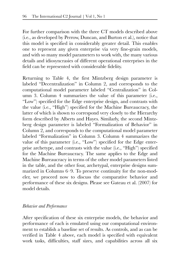For further comparison with the three CT models described above (i.e., as developed by Perrow, Duncan, and Burton et al.), notice that this model is specified in considerably greater detail. This enables one to represent any given enterprise via very fine-grain models, and with so many model parameters to work with, the many various details and idiosyncrasies of different operational enterprises in the field can be represented with considerable fidelity.

Returning to Table 4, the first Mintzberg design parameter is labeled "Decentralization" in Column 2, and corresponds to the computational model parameter labeled "Centralization" in Column 3. Column 4 summarizes the value of this parameter (i.e., "Low") specified for the Edge enterprise design, and contrasts with the value (i.e., "High") specified for the Machine Bureaucracy, the latter of which is shown to correspond very closely to the Hierarchy form described by Alberts and Hayes. Similarly, the second Mintzberg design parameter is labeled "Formalization of Behavior" in Column 2, and corresponds to the computational model parameter labeled "Formalization" in Column 3. Column 4 summarizes the value of this parameter (i.e., "Low") specified for the Edge enterprise archetype, and contrasts with the value (i.e., "High") specified for the Machine Bureaucracy. The same applies to the Edge and Machine Bureaucracy in terms of the other model parameters listed in the table, and the other four, archetypal, enterprise designs summarized in Columns 6–9. To preserve continuity for the non-modeler, we proceed now to discuss the comparative behavior and performance of these six designs. Please see Gateau et al. (2007) for model details.

#### *Behavior and Performance*

After specification of these six enterprise models, the behavior and performance of each is emulated using our computational environment to establish a baseline set of results. As controls, and as can be verified in Table 4 above, each model is specified with equivalent work tasks, difficulties, staff sizes, and capabilities across all six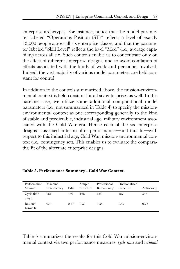enterprise archetypes. For instance, notice that the model parameter labeled "Operations Position (ST)" reflects a level of exactly 13,000 people across all six enterprise classes, and that the parameter labeled "Skill Level" reflects the level "Med" (i.e., average capability) across all six. Such controls enable us to concentrate only on the effect of different enterprise designs, and to avoid conflation of effects associated with the kinds of work and personnel involved. Indeed, the vast majority of various model parameters are held constant for control.

In addition to the controls summarized above, the mission-environmental context is held constant for all six enterprises as well. In this baseline case, we utilize some additional computational model parameters (i.e., not summarized in Table 4) to specify the missionenvironmental context as one corresponding generally to the kind of stable and predictable, industrial age, military environment associated with the Cold War era. Hence each of the six enterprise designs is assessed in terms of its performance—and thus fit—with respect to this industrial age, Cold War, mission-environmental context (i.e., contingency set). This enables us to evaluate the comparative fit of the alternate enterprise designs.

| Performance<br>Measure | Machine<br>Bureaucracy | Edge | Simple<br>Structure | Professional<br>Bureaucracy | Divisionalized<br>Structure | Adhocracy |
|------------------------|------------------------|------|---------------------|-----------------------------|-----------------------------|-----------|
| Cycle time<br>(days)   | 161                    | 150  | 168                 | 154                         | 157                         | 346       |
| Residual<br>Errors fr. | 0.39                   | 0.77 | 0.31                | 0.35                        | 0.47                        | 0.77      |

**Table 5. Performance Summary - Cold War Context.**

Table 5 summarizes the results for this Cold War mission-environmental context via two performance measures: *cycle time* and *residual*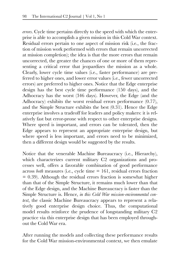*errors*. Cycle time pertains directly to the speed with which the enterprise is able to accomplish a given mission in this Cold War context. Residual errors pertain to one aspect of mission risk (i.e., the fraction of mission work performed with errors that remain uncorrected at mission completion); the idea is that the more errors that remain uncorrected, the greater the chances of one or more of them representing a critical error that jeopardizes the mission as a whole. Clearly, lower cycle time values (i.e., faster performance) are preferred to higher ones, and lower error values (i.e., fewer uncorrected errors) are preferred to higher ones. Notice that the Edge enterprise design has the best cycle time performance (150 days), and the Adhocracy has the worst (346 days). However, the Edge (and the Adhocracy) exhibits the worst residual errors performance (0.77), and the Simple Structure exhibits the best (0.31). Hence the Edge enterprise involves a tradeoff for leaders and policy makers: it is relatively fast but error-prone with respect to other enterprise designs. Where speed is important, and errors can be tolerated, then the Edge appears to represent an appropriate enterprise design, but where speed is less important, and errors need to be minimized, then a different design would be suggested by the results.

Notice that the venerable Machine Bureaucracy (i.e., Hierarchy), which characterizes current military C<sub>2</sub> organizations and processes well, offers a favorable combination of good performance across *both* measures (i.e., cycle time = 161, residual errors fraction  $= 0.39$ ). Although the residual errors fraction is somewhat higher than that of the Simple Structure, it remains much lower than that of the Edge design, and the Machine Bureaucracy is faster than the Simple Structure is. Hence, *in this Cold War mission-environmental context*, the classic Machine Bureaucracy appears to represent a relatively good enterprise design choice. Thus, the computational model results reinforce the prudence of longstanding military C2 practice via this enterprise design that has been employed throughout the Cold War era.

After running the models and collecting these performance results for the Cold War mission-environmental context, we then emulate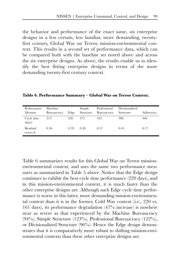the behavior and performance of the exact same, six enterprise designs in a less certain, less familiar, more demanding, twentyfirst century, Global War on Terror, mission-environmental context. This results in a second set of performance data, which can be compared both with the baseline set noted above and across the six enterprise designs. As above, the results enable us to identify the best fitting enterprise designs in terms of the more demanding twenty-first century context.

| Performance<br>Measure | Machine<br>Bureaucracy | Edge | Simple<br>Structure | Professional<br><b>Bureaucracy</b> | Divisionalized<br>Structure | Adhocracy |
|------------------------|------------------------|------|---------------------|------------------------------------|-----------------------------|-----------|
| Cycle time<br>(days)   | 313                    | 220  | 375                 | 342                                | 308                         | 446       |
| Residual<br>errors fr. | 0.36                   | 0.78 | 0.30                | 0.57                               | 0.45                        | 0.77      |

**Table 6. Performance Summary – Global War on Terror Context.**

Table 6 summarizes results for this Global War on Terror missionenvironmental context, and uses the same two performance measures as summarized in Table 5 above. Notice that the Edge design continues to exhibit the best cycle time performance (220 days), and in this mission-environmental context, it is much faster than the other enterprise designs are. Although such Edge cycle time performance is worse in this latter, more demanding mission-environmental context than it is in the former, Cold War context (i.e., 220 vs. 161 days), its performance degradation (47% increase) is nowhere near as severe as that experienced by the Machine Bureaucracy (94%), Simple Structure (123%), Professional Bureaucracy (122%), or Divisionalized Structure (96%). Hence the Edge design demonstrates that it is comparatively more robust to shifting mission-environmental contexts than these other enterprise designs are.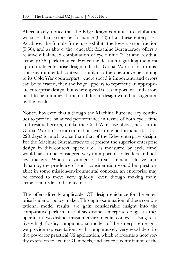Alternatively, notice that the Edge design continues to exhibit the worst residual errors performance (0.78) of all these enterprises. As above, the Simple Structure exhibits the lowest error fraction (0.30), and as above, the venerable Machine Bureaucracy offers a relatively balanced combination of cycle time (313) and residual errors (0.36) performance. Hence the decision regarding the most appropriate enterprise design to fit this Global War on Terror mission-environmental context is similar to the one above pertaining to its Cold War counterpart: where speed is important, and errors can be tolerated, then the Edge appears to represent an appropriate enterprise design, but where speed is less important, and errors need to be minimized, then a different design would be suggested by the results.

Notice, however, that although the Machine Bureaucracy continues to provide balanced performance in terms of both cycle time and residual errors, unlike the Cold War case above, here in the Global War on Terror context, its cycle time performance (313 vs. 220 days) is much worse than that of the Edge enterprise design. For the Machine Bureaucracy to represent the superior enterprise design in this context, speed (i.e., as measured by cycle time) would have to be considered very unimportant to leaders and policy makers. Where asymmetric threats remain elusive and dynamic, the prudence of such consideration would be questionable: in some mission-environmental contexts, an enterprise may be forced to move very quickly—even though making many errors—in order to be effective.

This offers directly applicable, CT design guidance for the enterprise leader or policy maker. Through examination of these computational model results, we gain considerable insight into the comparative performance of six distinct enterprise designs as they operate in two distinct mission-environmental contexts. Using relatively high-fidelity computational models of the enterprise designs, we provide representations with comparatively very good descriptive power for practical C2 application, which represents a noteworthy extension to extant CT models, and hence a contribution of the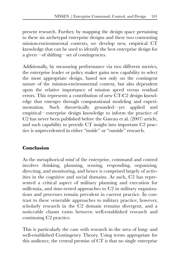present research. Further, by mapping the design space pertaining to these six archetypal enterprise designs and these two contrasting mission-environmental contexts, we develop new, empirical CT knowledge that can be used to identify the best enterprise design for a given—of shifting—set of contingencies.

Additionally, by measuring performance via two different metrics, the enterprise leader or policy maker gains new capability to select the most appropriate design, based not only on the contingent nature of the mission-environmental context, but also dependent upon the relative importance of mission speed versus residual errors. This represents a contribution of new CT-C2 design knowledge that emerges through computational modeling and experimentation. Such theoretically grounded—yet applied and empirical—enterprise design knowledge to inform the practice of C2 has never been published before the Gateau et al. (2007) article, and such capability to provide CT insight into important C2 practice is unprecedented in either "inside" or "outside" research.

#### **Conclusion**

As the metaphorical *mind* of the enterprise, command and control involves thinking, planning, sensing, responding, organizing, directing, and monitoring, and hence is comprised largely of activities in the cognitive and social domains. As such, C2 has represented a critical aspect of military planning and execution for millennia, and time-tested approaches to C2 in military organizations and processes remain prevalent in current practice. In contrast to these venerable approaches to military practice, however, scholarly research in the C2 domain remains divergent, and a noticeable chasm exists between well-established research and continuing C2 practice.

This is particularly the case with research in the area of long- and well-established Contingency Theory. Using terms appropriate for this audience, the central premise of CT is that no single enterprise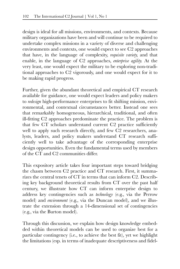design is ideal for all missions, environments, and contexts. Because military organizations have been and will continue to be required to undertake complex missions in a variety of diverse and challenging environments and contexts, one would expect to see C2 approaches that have, in the language of complexity, *requisite variety*, and that enable, in the language of C2 approaches, *enterprise agility*. At the very least, one would expect the military to be exploring non-traditional approaches to C2 vigorously, and one would expect for it to be making rapid progress.

Further, given the abundant theoretical and empirical CT research available for guidance, one would expect leaders and policy makers to *redesign* high-performance enterprises to fit shifting mission, environmental, and contextual circumstances better. Instead one sees that remarkably homogeneous, hierarchical, traditional, and often ill-fitting C2 approaches predominate the practice. The problem is that few CT scholars understand current C2 practice sufficiently well to apply such research directly, and few C2 researchers, analysts, leaders, and policy makers understand CT research sufficiently well to take advantage of the corresponding enterprise design opportunities. Even the fundamental terms used by members of the CT and C2 communities differ.

This expository article takes four important steps toward bridging the chasm between C2 practice and CT research. First, it summarizes the central tenets of CT in terms that can inform C2. Describing key background theoretical results from CT over the past half century, we illustrate how CT can inform enterprise design to address key contingencies such as *technology* (e.g., via the Perrow model) and *environment* (e.g., via the Duncan model), and we illustrate the extension through a 14-dimensional set of contingencies (e.g., via the Burton model).

Through this discussion, we explain how design knowledge embedded within theoretical models can be used to organize best for a particular contingency (i.e., to achieve the best fit), yet we highlight the limitations (esp. in terms of inadequate descriptiveness and fidel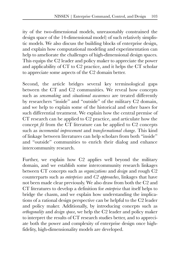ity of the two-dimensional models, unreasonably constrained the design space of the 14-dimensional model) of such relatively simplistic models. We also discuss the building blocks of enterprise design, and explain how computational modeling and experimentation can help to ameliorate the challenges of high-dimensional design spaces. This equips the C2 leader and policy maker to appreciate the power and applicability of CT to C2 practice, and it helps the CT scholar to appreciate some aspects of the C2 domain better.

Second, the article bridges several key terminological gaps between the CT and C2 communities. We reveal how concepts such as *sensemaking* and *situational awareness* are treated differently by researchers "inside" and "outside" of the military C2 domain, and we help to explain some of the historical and other bases for such differential treatment. We explain how the central premise of CT research can be applied to C2 practice, and articulate how the concept *fit* from the CT literature can be applied to C2 concepts such as *incremental improvement* and *transformational change*. This kind of linkage between literatures can help scholars from both "inside" and "outside" communities to enrich their dialog and enhance intercommunity research.

Further, we explain how C2 applies well beyond the military domain, and we establish some intercommunity research linkages between CT concepts such as *organizations* and *design* and rough C2 counterparts such as *enterprises* and *C2 approaches*, linkages that have not been made clear previously. We also draw from both the C2 and CT literatures to develop a definition for *enterprise* that itself helps to bridge the chasm, and we explain how understanding the implications of a rational design perspective can be helpful to the C2 leader and policy maker. Additionally, by introducing concepts such as *orthogonality* and *design space*, we help the C2 leader and policy maker to interpret the results of CT research studies better, and to appreciate both the power and complexity of enterprise design once highfidelity, high-dimensionality models are developed.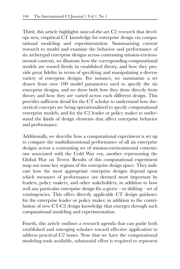Third, this article highlights state-of-the-art C2 research that develops new, empirical CT knowledge for enterprise design via computational modeling and experimentation. Summarizing current research to model and examine the behavior and performance of six archetypal enterprise designs across contrasting mission-environmental contexts, we illustrate how the corresponding computational models are rooted firmly in established theory, and how they provide great fidelity in terms of specifying and manipulating a diverse variety of enterprise designs. For instance, we summarize a set drawn from over 100 model parameters used to specify the six enterprise designs, and we show both how they draw directly from theory and how they are varied across each different design. This provides sufficient detail for the CT scholar to understand how theoretical concepts are being operationalized to specify computational enterprise models, and for the C2 leader or policy maker to understand the kinds of design elements that affect enterprise behavior and performance.

Additionally, we describe how a computational experiment is set up to compare the multidimensional performance of all six enterprise designs across a contrasting set of mission-environmental contexts: one associated with the Cold War era, another representing the Global War on Terror. Results of this computational experiment map out some key regions of the enterprise design space. They indicate how the most appropriate enterprise designs depend upon which measures of performance are deemed most important by leaders, policy makers, and other stakeholders, in addition to how well any particular enterprise design fits a given—or shifting—set of contingencies. This offers directly applicable CT design guidance for the enterprise leader or policy maker, in addition to the contribution of new CT-C2 design knowledge that emerges through such computational modeling and experimentation.

Fourth, this article outlines a research agenda that can guide both established and emerging scholars toward effective application to address practical C2 issues. Now that we have the computational modeling tools available, substantial effort is required to represent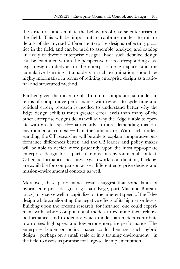the structures and emulate the behaviors of diverse enterprises in the field. This will be important to calibrate models to mirror details of the myriad different enterprise designs reflecting practice in the field, and can be used to assemble, analyze, and catalog an array of diverse enterprise designs. Each such detailed design can be examined within the perspective of its corresponding class (e.g., design archetype) in the enterprise design space, and the cumulative learning attainable via such examination should be highly informative in terms of refining enterprise design as a rational and structured method.

Further, given the mixed results from our computational models in terms of comparative performance with respect to cycle time and residual errors, research is needed to understand better why the Edge design exhibits much greater error levels than many of the other enterprise designs do, as well as why the Edge is able to operate with greater speed—particularly in more demanding missionenvironmental contexts—than the others are. With such understanding, the CT researcher will be able to explain comparative performance differences better, and the C2 leader and policy maker will be able to decide more prudently upon the most appropriate enterprise design for a particular mission-environmental context. Other performance measures (e.g., rework, coordination, backlog) are available for comparison across different enterprise designs and mission-environmental contexts as well.

Moreover, these performance results suggest that some kinds of hybrid enterprise designs (e.g., part Edge, part Machine Bureaucracy) may serve well to capitalize on the inherent speed of the Edge design while ameliorating the negative effects of its high error levels. Building upon the present research, for instance, one could experiment with hybrid computational models to examine their relative performance, and to identify which model parameters contribute toward *both* high-speed and low-error enterprise performance. The enterprise leader or policy maker could then test such hybrid design—perhaps on a small scale or in a training environment—in the field to assess its promise for large-scale implementation.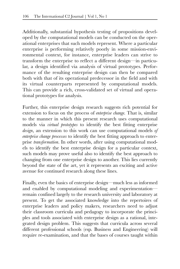Additionally, substantial hypothesis testing of propositions developed by the computational models can be conducted on the operational enterprises that such models represent. Where a particular enterprise is performing relatively poorly in some mission-environmental context, for instance, enterprise leaders can strive to transform the enterprise to reflect a different design—in particular, a design identified via analysis of virtual prototypes. Performance of the resulting enterprise design can then be compared both with that of its operational predecessor in the field and with its virtual counterparts represented by computational models. This can provide a rich, cross-validated set of virtual and operational prototypes for analysis.

Further, this enterprise design research suggests rich potential for extension to focus on the process of *enterprise change*. That is, similar to the manner in which this present research uses computational models via *virtual prototypes* to identify the best fitting enterprise *design*, an extension to this work can use computational models *of enterprise change processes* to identify the best fitting approach to enterprise *transformation*. In other words, after using computational models to identify the best enterprise design for a particular context, such models may prove useful also to identify the best approach to changing from one enterprise design to another. This lies currently beyond the state of the art, yet it represents an exciting and active avenue for continued research along these lines.

Finally, even the basics of enterprise design—much less as informed and enabled by computational modeling and experimentation remain confined largely to the research university and laboratory at present. To get the associated knowledge into the repertoires of enterprise leaders and policy makers, researchers need to adjust their classroom curricula and pedagogy to incorporate the principles and tools associated with enterprise design as a rational, integrated design problem. This suggests that curricula across several different professional schools (esp. Business and Engineering) will require re-examination, and that the bases of courses taught within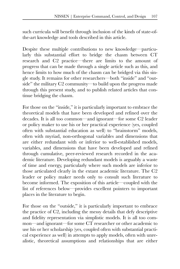such curricula will benefit through inclusion of the kinds of state-ofthe-art knowledge and tools described in this article.

Despite these multiple contributions to new knowledge—particularly this substantial effort to bridge the chasm between CT research and C2 practice—there are limits to the amount of progress that can be made through a single article such as this, and hence limits to how much of the chasm can be bridged via this single study. It remains for other researchers—both "inside" and "outside" the military C2 community—to build upon the progress made through this present study, and to publish related articles that continue bridging the chasm.

For those on the "inside," it is particularly important to embrace the theoretical models that have been developed and refined over the decades. It is all too common—and ignorant—for some C2 leader or policy maker to use his or her practical experience (yes, coupled often with substantial education as well) to "brainstorm" models, often with myriad, non-orthogonal variables and dimensions that are either redundant with or inferior to well-established models, variables, and dimensions that have been developed and refined through cumulative, peer-reviewed research recorded in the academic literature. Developing redundant models is arguably a waste of time and energy, particularly where such models are inferior to those articulated clearly in the extant academic literature. The C2 leader or policy maker needs only to consult such literature to become informed. The exposition of this article—coupled with the list of references below—provides excellent pointers to important places in the literature to begin.

For those on the "outside," it is particularly important to embrace the practice of C2, including the messy details that defy descriptive and fidelity representation via simplistic models. It is all too common—and ignorant—for some CT researcher or other academic to use his or her scholarship (yes, coupled often with substantial practical experience as well) in attempts to apply models, often with unrealistic, theoretical assumptions and relationships that are either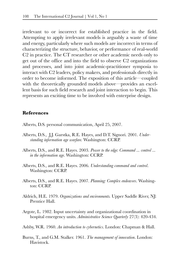irrelevant to or incorrect for established practice in the field. Attempting to apply irrelevant models is arguably a waste of time and energy, particularly where such models are incorrect in terms of characterizing the structure, behavior, or performance of real-world C2 in practice. The CT researcher or other academic needs only to get out of the office and into the field to observe C2 organizations and processes, and into joint academic-practitioner symposia to interact with C2 leaders, policy makers, and professionals directly in order to become informed. The exposition of this article—coupled with the theoretically grounded models above—provides an excellent basis for such field research and joint interaction to begin. This represents an exciting time to be involved with enterprise design.

#### **References**

- Alberts, D.S. personal communication, April 25, 2007.
- Alberts, D.S., J.J. Garstka, R.E. Hayes, and D.T. Signori. 2001. *Understanding information age warfare.* Washington: CCRP.
- Alberts, D.S., and R.E. Hayes. 2003. *Power to the edge: Command ... control ... in the information age*. Washington: CCRP.
- Alberts, D.S., and R.E. Hayes. 2006. *Understanding command and control*. Washington: CCRP.
- Alberts, D.S., and R.E. Hayes. 2007. *Planning: Complex endeavors*. Washington: CCRP.
- Aldrich, H.E. 1979. *Organizations and environments.* Upper Saddle River, NJ: Prentice Hall.
- Argote, L. 1982. Input uncertainty and organizational coordination in hospital emergency units. *Administrative Science Quarterly* 27(3): 420-434.
- Ashby, W.R. 1960. *An introduction to cybernetics*. London: Chapman & Hall.
- Burns, T., and G.M. Stalker. 1961. *The management of innovation*. London: Havistock.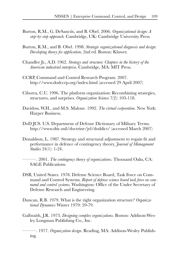- Burton, R.M., G. DeSanctis, and B. Obel. 2006. *Organizational design: A step-by-step approach.* Cambridge, UK: Cambridge University Press.
- Burton, R.M., and B. Obel. 1998. *Strategic organizational diagnosis and design: Developing theory for application*, 2nd ed*.* Boston: Kluwer.
- Chandler Jr., A.D. 1962. *Strategy and structure: Chapters in the history of the American industrial enterprise*. Cambridge, MA: MIT Press.
- CCRP, Command and Control Research Program. 2007. http://www.dodccrp.org/index.html (accessed 29 April 2007)
- Ciborra, C.U. 1996. The platform organization: Recombining strategies, structures, and surprises. *Organization Science* 7(2): 103-118.
- Davidow, W.H., and M.S. Malone. 1992. *The virtual corporation*. New York: Harper Business.
- DoD JCS. U.S. Department of Defense Dictionary of Military Terms. http://www.dtic.mil/doctrine/jel/doddict/ (accessed March 2007)
- Donaldson, L. 1987. Strategy and structural adjustment to regain fit and performance in defence of contingency theory. *Journal of Management Studies* 24(1): 1-24.

———. 2001. *The contingency theory of organizations*. Thousand Oaks, CA: SAGE Publications.

- DSB, United States. 1978. Defense Science Board, Task Force on Command and Control Systems. *Report of defense science board task force on command and control systems.* Washington: Office of the Under Secretary of Defense Research and Engineering.
- Duncan, R.B. 1979. What is the right organization structure? *Organizational Dynamics* Winter 1979: 59-79.
- Galbraith, J.R. 1973. *Designing complex organizations*. Boston: Addison-Wesley Longman Publishing Co., Inc.

———. 1977. *Organization design*. Reading, MA: Addison-Wesley Publishing.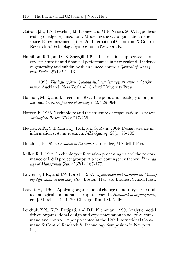- Gateau, J.B., T.A. Leweling, J.P. Looney, and M.E. Nissen. 2007. Hypothesis testing of edge organizations: Modeling the C2 organization design space. Paper presented at the 12th International Command & Control Research & Technology Symposium in Newport, RI.
- Hamilton, R.T., and G.S. Shergill. 1992. The relationship between strategy-structure fit and financial performance in new zealand: Evidence of generality and validity with enhanced controls. *Journal of Management Studies* 29(1): 95-113.
	- ———. 1993. *The logic of New Zealand business: Strategy, structure and performance*. Auckland, New Zealand: Oxford University Press.
- Hannan, M.T., and J. Freeman. 1977. The population ecology of organizations. *American Journal of Sociology* 82: 929-964.
- Harvey, E. 1968. Technology and the structure of organizations. *American Sociological Review* 33(2): 247-259.
- Hevner, A.R., S.T. March, J. Park, and S. Ram. 2004. Design science in information systems research. *MIS Quarterly* 28(1): 75-105.
- Hutchins, E. 1995. *Cognition in the wild*. Cambridge, MA: MIT Press.
- Keller, R.T. 1994. Technology-information processing fit and the performance of R&D project groups: A test of contingency theory. *The Academy of Management Journal* 37(1): 167-179.
- Lawrence, P.R., and J.W. Lorsch. 1967. *Organization and environment: Managing differentiation and integration*. Boston: Harvard Business School Press.
- Leavitt, H.J. 1965. Applying organizational change in industry: structural, technological and humanistic approaches. In *Handbook of organizations,* ed. J. March, 1144-1170. Chicago: Rand McNally.
- Levchuk, Y.N., K.R. Pattipati, and D.L. Kleinman. 1999. Analytic model driven organizational design and experimentation in adaptive command and control. Paper presented at the 12th International Command & Control Research & Technology Symposium in Newport, RI.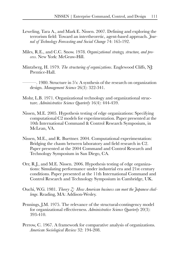- Leweling, Tara A., and Mark E. Nissen. 2007. Defining and exploring the terrorism field: Toward an intertheoretic, agent-based approach. *Journal of Technology Forecasting and Social Change* 74: 165-192.
- Miles, R.E., and C.C. Snow. 1978. *Organizational strategy, structure, and process*. New York: McGraw-Hill.
- Mintzberg, H. 1979. *The structuring of organizations*. Englewood Cliffs, NJ: Prentice-Hall.
	- ———. 1980. Structure in 5's: A synthesis of the research on organization design. *Management Science* 26(3): 322-341.
- Mohr, L.B. 1971. Organizational technology and organizational structure. *Administrative Science Quarterly* 16(4): 444-459.
- Nissen, M.E. 2005. Hypothesis testing of edge organizations: Specifying computational C2 models for experimentation. Paper presented at the 10th International Command & Control Research Symposium, in McLean, VA.
- Nissen, M.E., and R. Buettner. 2004. Computational experimentation: Bridging the chasm between laboratory and field research in C2. Paper presented at the 2004 Command and Control Research and Technology Symposium in San Diego, CA.
- Orr, R.J., and M.E. Nissen. 2006. Hypothesis testing of edge organizations: Simulating performance under industrial era and 21st century conditions. Paper presented at the 11th International Command and Control Research and Technology Symposium in Cambridge, UK.
- Ouchi, W.G. 1981. *Theory Z: How American business can meet the Japanese challenge*. Reading, MA: Addison-Wesley.
- Pennings, J.M. 1975. The relevance of the structural-contingency model for organizational effectiveness. *Administrative Science Quarterly* 20(3): 393-410.
- Perrow, C. 1967. A framework for comparative analysis of organizations. *American Sociological Review* 32: 194-208.